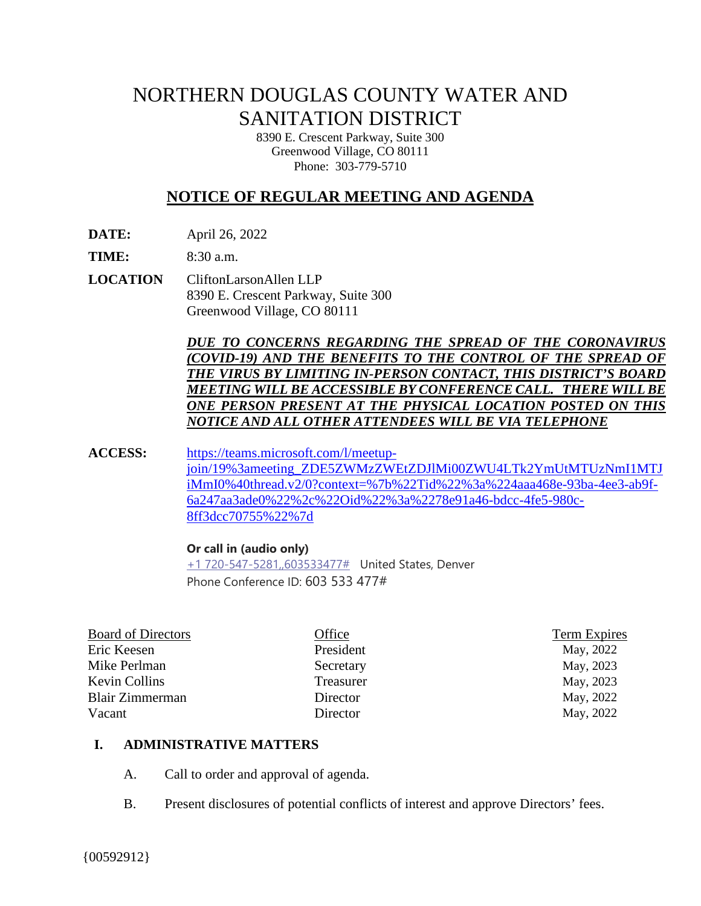# NORTHERN DOUGLAS COUNTY WATER AND SANITATION DISTRICT

8390 E. Crescent Parkway, Suite 300 Greenwood Village, CO 80111 Phone: 303-779-5710

# **NOTICE OF REGULAR MEETING AND AGENDA**

**DATE:** April 26, 2022

**TIME:** 8:30 a.m.

**LOCATION** CliftonLarsonAllen LLP 8390 E. Crescent Parkway, Suite 300 Greenwood Village, CO 80111

> *DUE TO CONCERNS REGARDING THE SPREAD OF THE CORONAVIRUS (COVID-19) AND THE BENEFITS TO THE CONTROL OF THE SPREAD OF THE VIRUS BY LIMITING IN-PERSON CONTACT, THIS DISTRICT'S BOARD MEETING WILL BE ACCESSIBLE BY CONFERENCE CALL. THERE WILLBE ONE PERSON PRESENT AT THE PHYSICAL LOCATION POSTED ON THIS NOTICE AND ALL OTHER ATTENDEES WILL BE VIA TELEPHONE*

**ACCESS:** [https://teams.microsoft.com/l/meetup](https://teams.microsoft.com/l/meetup-join/19%3ameeting_ZDE5ZWMzZWEtZDJlMi00ZWU4LTk2YmUtMTUzNmI1MTJiMmI0%40thread.v2/0?context=%7b%22Tid%22%3a%224aaa468e-93ba-4ee3-ab9f-6a247aa3ade0%22%2c%22Oid%22%3a%2278e91a46-bdcc-4fe5-980c-8ff3dcc70755%22%7d)[join/19%3ameeting\\_ZDE5ZWMzZWEtZDJlMi00ZWU4LTk2YmUtMTUzNmI1MTJ](https://teams.microsoft.com/l/meetup-join/19%3ameeting_ZDE5ZWMzZWEtZDJlMi00ZWU4LTk2YmUtMTUzNmI1MTJiMmI0%40thread.v2/0?context=%7b%22Tid%22%3a%224aaa468e-93ba-4ee3-ab9f-6a247aa3ade0%22%2c%22Oid%22%3a%2278e91a46-bdcc-4fe5-980c-8ff3dcc70755%22%7d) [iMmI0%40thread.v2/0?context=%7b%22Tid%22%3a%224aaa468e-93ba-4ee3-ab9f-](https://teams.microsoft.com/l/meetup-join/19%3ameeting_ZDE5ZWMzZWEtZDJlMi00ZWU4LTk2YmUtMTUzNmI1MTJiMmI0%40thread.v2/0?context=%7b%22Tid%22%3a%224aaa468e-93ba-4ee3-ab9f-6a247aa3ade0%22%2c%22Oid%22%3a%2278e91a46-bdcc-4fe5-980c-8ff3dcc70755%22%7d)[6a247aa3ade0%22%2c%22Oid%22%3a%2278e91a46-bdcc-4fe5-980c-](https://teams.microsoft.com/l/meetup-join/19%3ameeting_ZDE5ZWMzZWEtZDJlMi00ZWU4LTk2YmUtMTUzNmI1MTJiMmI0%40thread.v2/0?context=%7b%22Tid%22%3a%224aaa468e-93ba-4ee3-ab9f-6a247aa3ade0%22%2c%22Oid%22%3a%2278e91a46-bdcc-4fe5-980c-8ff3dcc70755%22%7d)[8ff3dcc70755%22%7d](https://teams.microsoft.com/l/meetup-join/19%3ameeting_ZDE5ZWMzZWEtZDJlMi00ZWU4LTk2YmUtMTUzNmI1MTJiMmI0%40thread.v2/0?context=%7b%22Tid%22%3a%224aaa468e-93ba-4ee3-ab9f-6a247aa3ade0%22%2c%22Oid%22%3a%2278e91a46-bdcc-4fe5-980c-8ff3dcc70755%22%7d)

#### **Or call in (audio only)**

[+1 720-547-5281,,603533477#](tel:+17205475281,,603533477#%20) United States, Denver Phone Conference ID: 603 533 477#

| <b>Board of Directors</b> | Office    | <b>Term Expires</b> |
|---------------------------|-----------|---------------------|
| Eric Keesen               | President | May, 2022           |
| Mike Perlman              | Secretary | May, 2023           |
| Kevin Collins             | Treasurer | May, 2023           |
| Blair Zimmerman           | Director  | May, 2022           |
| Vacant                    | Director  | May, 2022           |
|                           |           |                     |

#### **I. ADMINISTRATIVE MATTERS**

- A. Call to order and approval of agenda.
- B. Present disclosures of potential conflicts of interest and approve Directors' fees.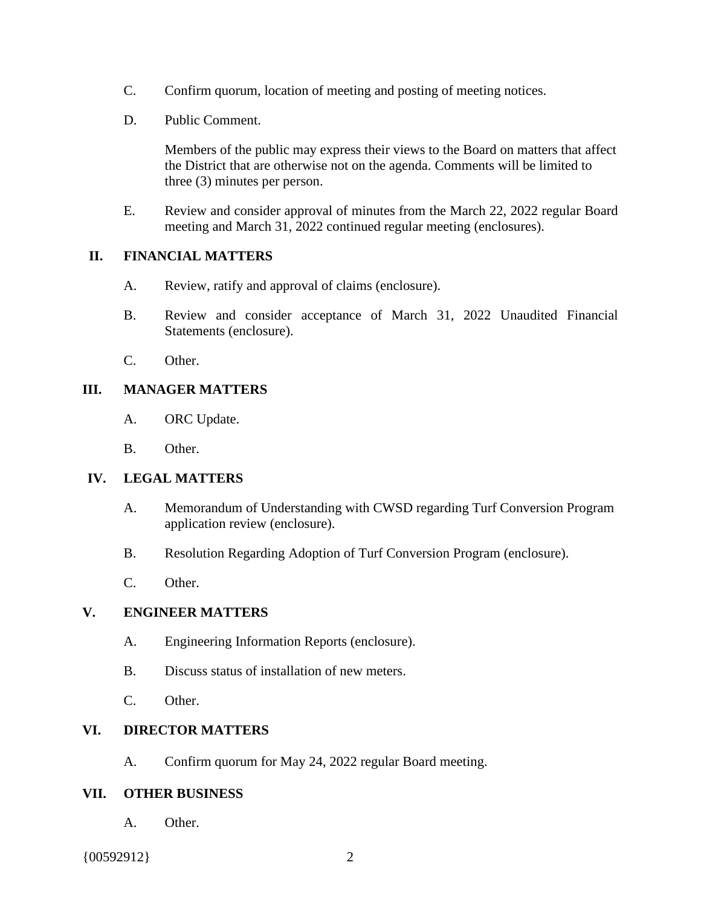- C. Confirm quorum, location of meeting and posting of meeting notices.
- D. Public Comment.

Members of the public may express their views to the Board on matters that affect the District that are otherwise not on the agenda. Comments will be limited to three (3) minutes per person.

E. Review and consider approval of minutes from the March 22, 2022 regular Board meeting and March 31, 2022 continued regular meeting (enclosures).

#### **II. FINANCIAL MATTERS**

- A. Review, ratify and approval of claims (enclosure).
- B. Review and consider acceptance of March 31, 2022 Unaudited Financial Statements (enclosure).
- C. Other.

#### **III. MANAGER MATTERS**

- A. ORC Update.
- B. Other.

# **IV. LEGAL MATTERS**

- A. Memorandum of Understanding with CWSD regarding Turf Conversion Program application review (enclosure).
- B. Resolution Regarding Adoption of Turf Conversion Program (enclosure).
- C. Other.

# **V. ENGINEER MATTERS**

- A. Engineering Information Reports (enclosure).
- B. Discuss status of installation of new meters.
- C. Other.

# **VI. DIRECTOR MATTERS**

A. Confirm quorum for May 24, 2022 regular Board meeting.

# **VII. OTHER BUSINESS**

A. Other.

{00592912} 2